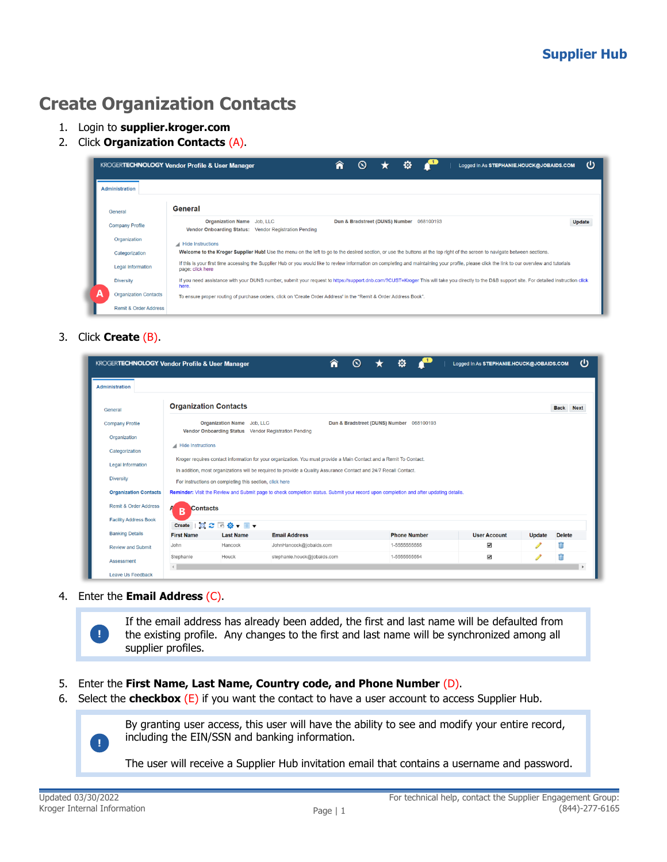## **Create Organization Contacts**

- 1. Login to **supplier.kroger.com**
- 2. Click **Organization Contacts** (A).

|   |                                  | υ<br>Â<br>o<br>$\mathbf \Omega$<br><b>KROGERTECHNOLOGY Vendor Profile &amp; User Manager</b><br>Logged In As STEPHANIE.HOUCK@JOBAIDS.COM                                                                          |
|---|----------------------------------|-------------------------------------------------------------------------------------------------------------------------------------------------------------------------------------------------------------------|
|   | <b>Administration</b>            |                                                                                                                                                                                                                   |
|   | General                          | General                                                                                                                                                                                                           |
|   | <b>Company Profile</b>           | <b>Organization Name</b> Job, LLC<br>Dun & Bradstreet (DUNS) Number 068100193<br>Update<br>Vendor Onboarding Status: Vendor Registration Pending                                                                  |
|   | Organization                     | Hide Instructions                                                                                                                                                                                                 |
|   | Categorization                   | Welcome to the Kroger Supplier Hub! Use the menu on the left to go to the desired section, or use the buttons at the top right of the screen to navigate between sections.                                        |
|   | <b>Legal Information</b>         | If this is your first time accessing the Supplier Hub or you would like to review information on completing and maintaining your profile, please click the link to our overview and tutorials<br>page: click here |
|   | <b>Diversity</b>                 | If you need assistance with your DUNS number, submit your request to https://support.dnb.com/?CUST=Kroger This will take you directly to the D&B support site. For detailed instruction click<br>here.            |
| А | <b>Organization Contacts</b>     | To ensure proper routing of purchase orders, click on 'Create Order Address' in the "Remit & Order Address Book".                                                                                                 |
|   | <b>Remit &amp; Order Address</b> |                                                                                                                                                                                                                   |

## <span id="page-0-0"></span>3. Click **Create** (B).

| <b>KROGERTECHNOLOGY Vendor Profile &amp; User Manager</b> |                              |                                                         |                                                                                                                                                                                                                                        | ⋒<br>ര | o                                        | Logged In As STEPHANIE.HOUCK@JOBAIDS.COM |               |               |             |
|-----------------------------------------------------------|------------------------------|---------------------------------------------------------|----------------------------------------------------------------------------------------------------------------------------------------------------------------------------------------------------------------------------------------|--------|------------------------------------------|------------------------------------------|---------------|---------------|-------------|
| <b>Administration</b>                                     |                              |                                                         |                                                                                                                                                                                                                                        |        |                                          |                                          |               |               |             |
| General                                                   | <b>Organization Contacts</b> |                                                         |                                                                                                                                                                                                                                        |        |                                          |                                          |               | <b>Back</b>   | <b>Next</b> |
| <b>Company Profile</b>                                    |                              | Organization Name Job, LLC                              |                                                                                                                                                                                                                                        |        | Dun & Bradstreet (DUNS) Number 068100193 |                                          |               |               |             |
| Organization                                              |                              |                                                         | Vendor Onboarding Status Vendor Registration Pending                                                                                                                                                                                   |        |                                          |                                          |               |               |             |
| Categorization                                            | Hide Instructions            |                                                         |                                                                                                                                                                                                                                        |        |                                          |                                          |               |               |             |
| <b>Legal Information</b>                                  |                              |                                                         | Kroger requires contact information for your organization. You must provide a Main Contact and a Remit To Contact.<br>In addition, most organizations will be required to provide a Quality Assurance Contact and 24/7 Recall Contact. |        |                                          |                                          |               |               |             |
| <b>Diversity</b>                                          |                              | For instructions on completing this section, click here |                                                                                                                                                                                                                                        |        |                                          |                                          |               |               |             |
| <b>Organization Contacts</b>                              |                              |                                                         | Reminder: Visit the Review and Submit page to check completion status. Submit your record upon completion and after updating details.                                                                                                  |        |                                          |                                          |               |               |             |
| <b>Remit &amp; Order Address</b>                          | A<br><b>Contacts</b>         |                                                         |                                                                                                                                                                                                                                        |        |                                          |                                          |               |               |             |
| <b>Facility Address Book</b>                              | B                            | Create   国 2 回 章 - 圖 v                                  |                                                                                                                                                                                                                                        |        |                                          |                                          |               |               |             |
| <b>Banking Details</b>                                    | <b>First Name</b>            | <b>Last Name</b>                                        | <b>Email Address</b>                                                                                                                                                                                                                   |        | <b>Phone Number</b>                      | <b>User Account</b>                      | <b>Update</b> | <b>Delete</b> |             |
| <b>Review and Submit</b>                                  | John                         | Hancock                                                 | JohnHancock@jobaids.com                                                                                                                                                                                                                |        | 1-5555555555                             | $\overline{\mathbf{v}}$                  |               | Ħ             |             |
| Assessment                                                | Stephanie                    | Houck                                                   | stephanie.houck@jobaids.com                                                                                                                                                                                                            |        | 1-5555555554                             | $\overline{\mathbf{v}}$                  |               |               |             |
| Leave Us Feedback                                         |                              |                                                         |                                                                                                                                                                                                                                        |        |                                          |                                          |               |               |             |

## 4. Enter the **Email Address** (C).

If the email address has already been added, the first and last name will be defaulted from the existing profile. Any changes to the first and last name will be synchronized among all supplier profiles.

- 5. Enter the **First Name, Last Name, Country code, and Phone Number** (D).
- 6. Select the **checkbox** (E) if you want the contact to have a user account to access Supplier Hub.



**!**

By granting user access, this user will have the ability to see and modify your entire record, including the EIN/SSN and banking information.

The user will receive a Supplier Hub invitation email that contains a username and password.